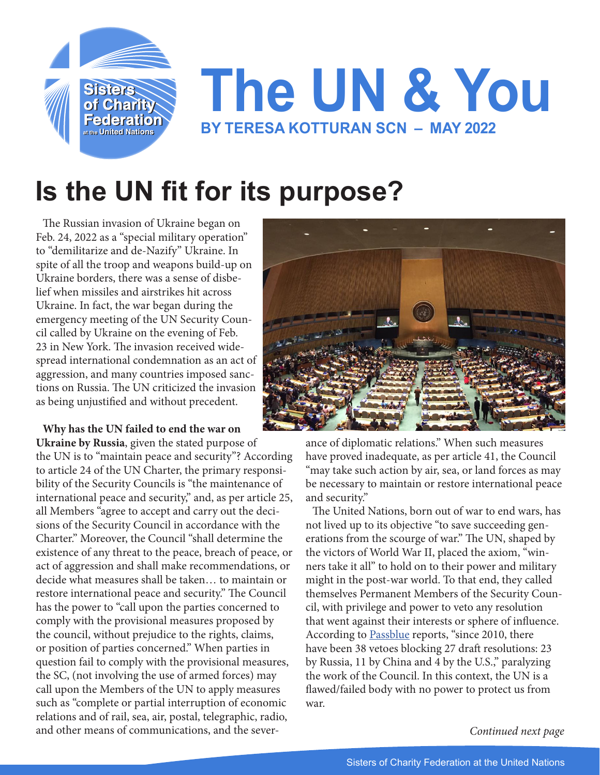

## **Is the UN fit for its purpose?**

The Russian invasion of Ukraine began on Feb. 24, 2022 as a "special military operation" to "demilitarize and de-Nazify" Ukraine. In spite of all the troop and weapons build-up on Ukraine borders, there was a sense of disbelief when missiles and airstrikes hit across Ukraine. In fact, the war began during the emergency meeting of the UN Security Council called by Ukraine on the evening of Feb. 23 in New York. The invasion received widespread international condemnation as an act of aggression, and many countries imposed sanctions on Russia. The UN criticized the invasion as being unjustified and without precedent.

**Why has the UN failed to end the war on** 

**Ukraine by Russia**, given the stated purpose of the UN is to "maintain peace and security"? According to article 24 of the UN Charter, the primary responsibility of the Security Councils is "the maintenance of international peace and security," and, as per article 25, all Members "agree to accept and carry out the decisions of the Security Council in accordance with the Charter." Moreover, the Council "shall determine the existence of any threat to the peace, breach of peace, or act of aggression and shall make recommendations, or decide what measures shall be taken… to maintain or restore international peace and security." The Council has the power to "call upon the parties concerned to comply with the provisional measures proposed by the council, without prejudice to the rights, claims, or position of parties concerned." When parties in question fail to comply with the provisional measures, the SC, (not involving the use of armed forces) may call upon the Members of the UN to apply measures such as "complete or partial interruption of economic relations and of rail, sea, air, postal, telegraphic, radio, and other means of communications, and the sever-



ance of diplomatic relations." When such measures have proved inadequate, as per article 41, the Council "may take such action by air, sea, or land forces as may be necessary to maintain or restore international peace and security."

The United Nations, born out of war to end wars, has not lived up to its objective "to save succeeding generations from the scourge of war." The UN, shaped by the victors of World War II, placed the axiom, "winners take it all" to hold on to their power and military might in the post-war world. To that end, they called themselves Permanent Members of the Security Council, with privilege and power to veto any resolution that went against their interests or sphere of influence. According to [Passblue](https://www.passblue.com/ ) reports, "since 2010, there have been 38 vetoes blocking 27 draft resolutions: 23 by Russia, 11 by China and 4 by the U.S.," paralyzing the work of the Council. In this context, the UN is a flawed/failed body with no power to protect us from war.

*Continued next page*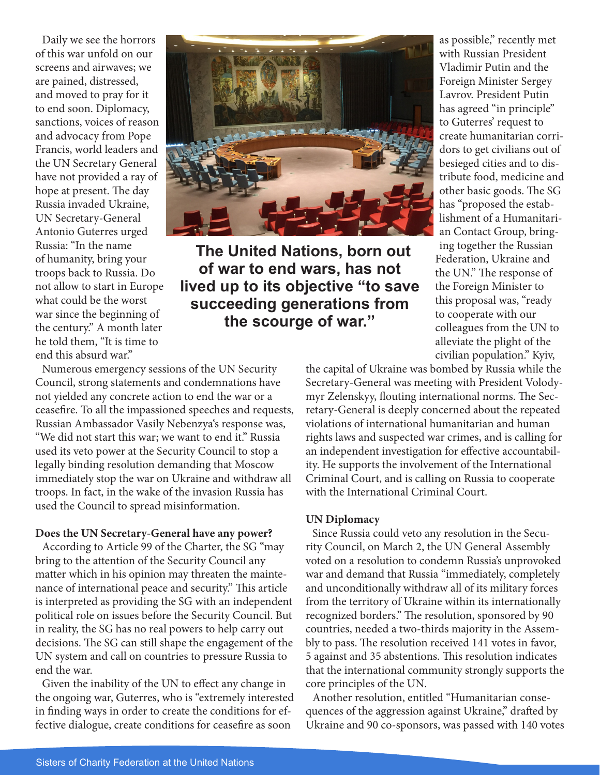Daily we see the horrors of this war unfold on our screens and airwaves; we are pained, distressed, and moved to pray for it to end soon. Diplomacy, sanctions, voices of reason and advocacy from Pope Francis, world leaders and the UN Secretary General have not provided a ray of hope at present. The day Russia invaded Ukraine, UN Secretary-General Antonio Guterres urged Russia: "In the name of humanity, bring your troops back to Russia. Do not allow to start in Europe what could be the worst war since the beginning of the century." A month later he told them, "It is time to end this absurd war."



**The United Nations, born out of war to end wars, has not lived up to its objective "to save succeeding generations from the scourge of war."**

as possible," recently met with Russian President Vladimir Putin and the Foreign Minister Sergey Lavrov. President Putin has agreed "in principle" to Guterres' request to create humanitarian corridors to get civilians out of besieged cities and to distribute food, medicine and other basic goods. The SG has "proposed the establishment of a Humanitarian Contact Group, bringing together the Russian Federation, Ukraine and the UN." The response of the Foreign Minister to this proposal was, "ready to cooperate with our colleagues from the UN to alleviate the plight of the civilian population." Kyiv,

Numerous emergency sessions of the UN Security Council, strong statements and condemnations have not yielded any concrete action to end the war or a ceasefire. To all the impassioned speeches and requests, Russian Ambassador Vasily Nebenzya's response was, "We did not start this war; we want to end it." Russia used its veto power at the Security Council to stop a legally binding resolution demanding that Moscow immediately stop the war on Ukraine and withdraw all troops. In fact, in the wake of the invasion Russia has used the Council to spread misinformation.

## **Does the UN Secretary-General have any power?**

According to Article 99 of the Charter, the SG "may bring to the attention of the Security Council any matter which in his opinion may threaten the maintenance of international peace and security." This article is interpreted as providing the SG with an independent political role on issues before the Security Council. But in reality, the SG has no real powers to help carry out decisions. The SG can still shape the engagement of the UN system and call on countries to pressure Russia to end the war.

Given the inability of the UN to effect any change in the ongoing war, Guterres, who is "extremely interested in finding ways in order to create the conditions for effective dialogue, create conditions for ceasefire as soon

the capital of Ukraine was bombed by Russia while the Secretary-General was meeting with President Volodymyr Zelenskyy, flouting international norms. The Secretary-General is deeply concerned about the repeated violations of international humanitarian and human rights laws and suspected war crimes, and is calling for an independent investigation for effective accountability. He supports the involvement of the International Criminal Court, and is calling on Russia to cooperate with the International Criminal Court.

## **UN Diplomacy**

Since Russia could veto any resolution in the Security Council, on March 2, the UN General Assembly voted on a resolution to condemn Russia's unprovoked war and demand that Russia "immediately, completely and unconditionally withdraw all of its military forces from the territory of Ukraine within its internationally recognized borders." The resolution, sponsored by 90 countries, needed a two-thirds majority in the Assembly to pass. The resolution received 141 votes in favor, 5 against and 35 abstentions. This resolution indicates that the international community strongly supports the core principles of the UN.

Another resolution, entitled "Humanitarian consequences of the aggression against Ukraine," drafted by Ukraine and 90 co-sponsors, was passed with 140 votes